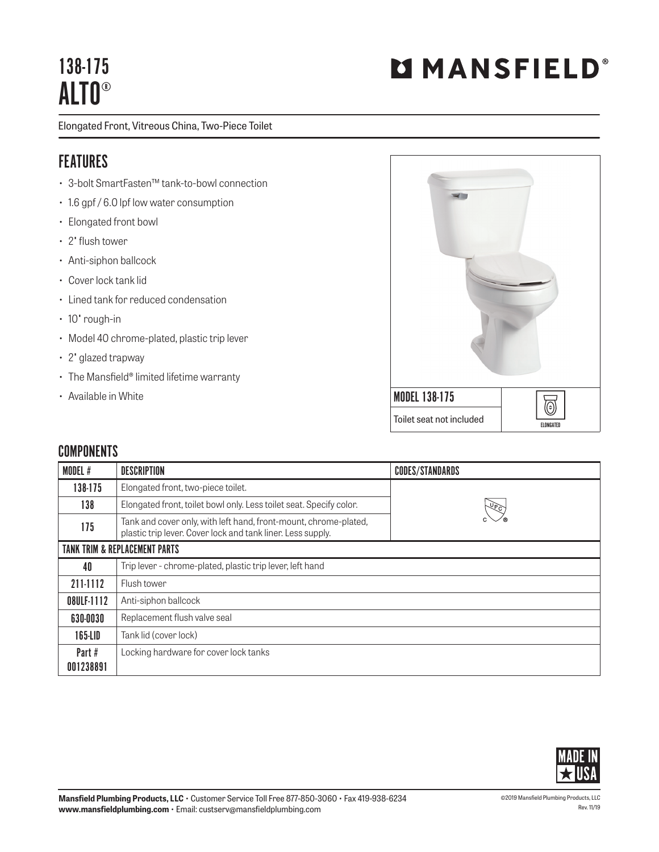# 138-175 ALTO®

Elongated Front, Vitreous China, Two-Piece Toilet

## FEATURES

- 3-bolt SmartFasten™ tank-to-bowl connection
- 1.6 gpf / 6.0 lpf low water consumption
- Elongated front bowl
- 2" flush tower
- Anti-siphon ballcock
- Cover lock tank lid
- Lined tank for reduced condensation
- 10" rough-in
- Model 40 chrome-plated, plastic trip lever
- 2" glazed trapway
- The Mansfield® limited lifetime warranty
- Available in White



#### **COMPONENTS**

| MODEL #                                  | <b>DESCRIPTION</b>                                                                                                              | <b>CODES/STANDARDS</b> |  |
|------------------------------------------|---------------------------------------------------------------------------------------------------------------------------------|------------------------|--|
| 138-175                                  | Elongated front, two-piece toilet.                                                                                              |                        |  |
| 138                                      | Elongated front, toilet bowl only. Less toilet seat. Specify color.                                                             | $\sqrt[12]{c}$         |  |
| 175                                      | Tank and cover only, with left hand, front-mount, chrome-plated,<br>plastic trip lever. Cover lock and tank liner. Less supply. |                        |  |
| <b>TANK TRIM &amp; REPLACEMENT PARTS</b> |                                                                                                                                 |                        |  |
| 40                                       | Trip lever - chrome-plated, plastic trip lever, left hand                                                                       |                        |  |
| 211-1112                                 | Flush tower                                                                                                                     |                        |  |
| 08ULF-1112                               | Anti-siphon ballcock                                                                                                            |                        |  |
| 630-0030                                 | Replacement flush valve seal                                                                                                    |                        |  |
| 165-LID                                  | Tank lid (cover lock)                                                                                                           |                        |  |
| Part #<br>001238891                      | Locking hardware for cover lock tanks                                                                                           |                        |  |